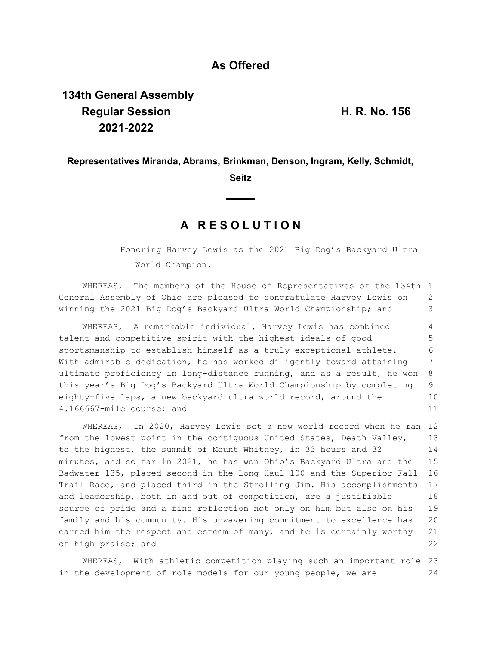# **As Offered**

# **134th General Assembly Regular Session H. R. No. 156 2021-2022**

### **Representatives Miranda, Abrams, Brinkman, Denson, Ingram, Kelly, Schmidt,**

#### **Seitz**

## **A R E S O L U T I O N**

Honoring Harvey Lewis as the 2021 Big Dog's Backyard Ultra World Champion.

WHEREAS, The members of the House of Representatives of the 134th 1 General Assembly of Ohio are pleased to congratulate Harvey Lewis on winning the 2021 Big Dog's Backyard Ultra World Championship; and 2 3

WHEREAS, A remarkable individual, Harvey Lewis has combined talent and competitive spirit with the highest ideals of good sportsmanship to establish himself as a truly exceptional athlete. With admirable dedication, he has worked diligently toward attaining ultimate proficiency in long-distance running, and as a result, he won this year's Big Dog's Backyard Ultra World Championship by completing eighty-five laps, a new backyard ultra world record, around the 4.166667-mile course; and 4 5 6 7 8 9 10 11

WHEREAS, In 2020, Harvey Lewis set a new world record when he ran 12 from the lowest point in the contiguous United States, Death Valley, to the highest, the summit of Mount Whitney, in 33 hours and 32 minutes, and so far in 2021, he has won Ohio's Backyard Ultra and the Badwater 135, placed second in the Long Haul 100 and the Superior Fall Trail Race, and placed third in the Strolling Jim. His accomplishments and leadership, both in and out of competition, are a justifiable source of pride and a fine reflection not only on him but also on his family and his community. His unwavering commitment to excellence has earned him the respect and esteem of many, and he is certainly worthy of high praise; and 13 14 15 16 17 18 19 20 21 22

WHEREAS, With athletic competition playing such an important role 23 in the development of role models for our young people, we are 24